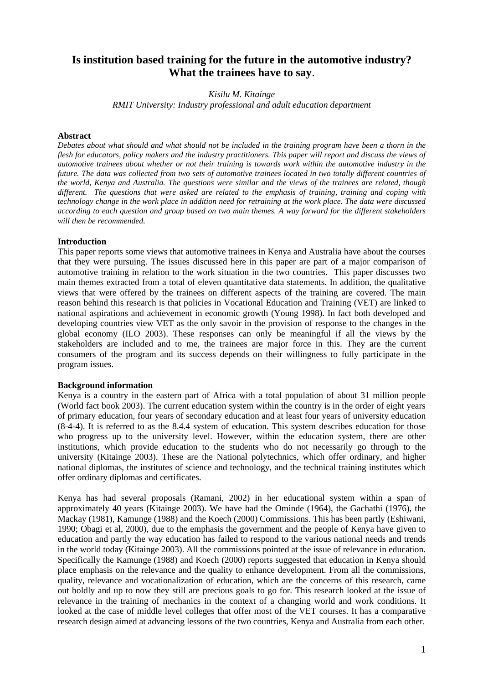# **Is institution based training for the future in the automotive industry? What the trainees have to say**.

### *Kisilu M. Kitainge*

*RMIT University: Industry professional and adult education department*

### **Abstract**

*Debates about what should and what should not be included in the training program have been a thorn in the flesh for educators, policy makers and the industry practitioners. This paper will report and discuss the views of automotive trainees about whether or not their training is towards work within the automotive industry in the future. The data was collected from two sets of automotive trainees located in two totally different countries of the world, Kenya and Australia. The questions were similar and the views of the trainees are related, though different. The questions that were asked are related to the emphasis of training, training and coping with technology change in the work place in addition need for retraining at the work place. The data were discussed according to each question and group based on two main themes. A way forward for the different stakeholders will then be recommended.* 

### **Introduction**

This paper reports some views that automotive trainees in Kenya and Australia have about the courses that they were pursuing. The issues discussed here in this paper are part of a major comparison of automotive training in relation to the work situation in the two countries. This paper discusses two main themes extracted from a total of eleven quantitative data statements. In addition, the qualitative views that were offered by the trainees on different aspects of the training are covered. The main reason behind this research is that policies in Vocational Education and Training (VET) are linked to national aspirations and achievement in economic growth (Young 1998). In fact both developed and developing countries view VET as the only savoir in the provision of response to the changes in the global economy (ILO 2003). These responses can only be meaningful if all the views by the stakeholders are included and to me, the trainees are major force in this. They are the current consumers of the program and its success depends on their willingness to fully participate in the program issues.

#### **Background information**

Kenya is a country in the eastern part of Africa with a total population of about 31 million people (World fact book 2003). The current education system within the country is in the order of eight years of primary education, four years of secondary education and at least four years of university education (8-4-4). It is referred to as the 8.4.4 system of education. This system describes education for those who progress up to the university level. However, within the education system, there are other institutions, which provide education to the students who do not necessarily go through to the university (Kitainge 2003). These are the National polytechnics, which offer ordinary, and higher national diplomas, the institutes of science and technology, and the technical training institutes which offer ordinary diplomas and certificates.

Kenya has had several proposals (Ramani, 2002) in her educational system within a span of approximately 40 years (Kitainge 2003). We have had the Ominde (1964), the Gachathi (1976), the Mackay (1981), Kamunge (1988) and the Koech (2000) Commissions. This has been partly (Eshiwani, 1990; Obagi et al, 2000), due to the emphasis the government and the people of Kenya have given to education and partly the way education has failed to respond to the various national needs and trends in the world today (Kitainge 2003). All the commissions pointed at the issue of relevance in education. Specifically the Kamunge (1988) and Koech (2000) reports suggested that education in Kenya should place emphasis on the relevance and the quality to enhance development. From all the commissions, quality, relevance and vocationalization of education, which are the concerns of this research, came out boldly and up to now they still are precious goals to go for. This research looked at the issue of relevance in the training of mechanics in the context of a changing world and work conditions. It looked at the case of middle level colleges that offer most of the VET courses. It has a comparative research design aimed at advancing lessons of the two countries, Kenya and Australia from each other.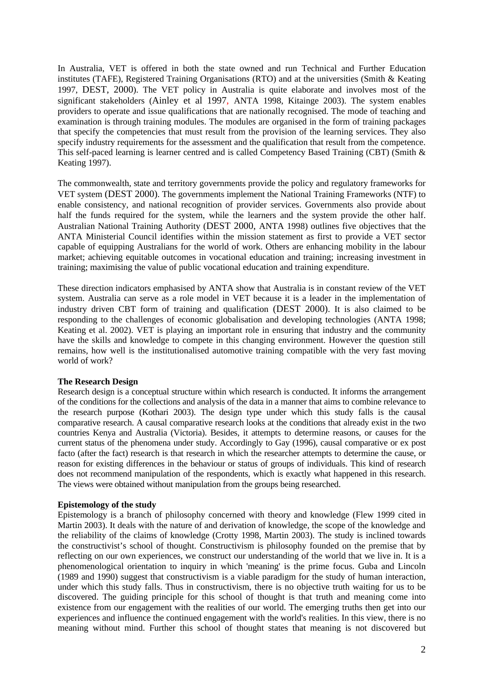In Australia, VET is offered in both the state owned and run Technical and Further Education institutes (TAFE), Registered Training Organisations (RTO) and at the universities (Smith & Keating 1997, DEST, 2000). The VET policy in Australia is quite elaborate and involves most of the significant stakeholders (Ainley et al 1997, ANTA 1998, Kitainge 2003). The system enables providers to operate and issue qualifications that are nationally recognised. The mode of teaching and examination is through training modules. The modules are organised in the form of training packages that specify the competencies that must result from the provision of the learning services. They also specify industry requirements for the assessment and the qualification that result from the competence. This self-paced learning is learner centred and is called Competency Based Training (CBT) (Smith & Keating 1997).

The commonwealth, state and territory governments provide the policy and regulatory frameworks for VET system (DEST 2000). The governments implement the National Training Frameworks (NTF) to enable consistency, and national recognition of provider services. Governments also provide about half the funds required for the system, while the learners and the system provide the other half. Australian National Training Authority (DEST 2000, ANTA 1998) outlines five objectives that the ANTA Ministerial Council identifies within the mission statement as first to provide a VET sector capable of equipping Australians for the world of work. Others are enhancing mobility in the labour market; achieving equitable outcomes in vocational education and training; increasing investment in training; maximising the value of public vocational education and training expenditure.

These direction indicators emphasised by ANTA show that Australia is in constant review of the VET system. Australia can serve as a role model in VET because it is a leader in the implementation of industry driven CBT form of training and qualification (DEST 2000). It is also claimed to be responding to the challenges of economic globalisation and developing technologies (ANTA 1998; Keating et al. 2002). VET is playing an important role in ensuring that industry and the community have the skills and knowledge to compete in this changing environment. However the question still remains, how well is the institutionalised automotive training compatible with the very fast moving world of work?

# **The Research Design**

Research design is a conceptual structure within which research is conducted. It informs the arrangement of the conditions for the collections and analysis of the data in a manner that aims to combine relevance to the research purpose (Kothari 2003). The design type under which this study falls is the causal comparative research. A causal comparative research looks at the conditions that already exist in the two countries Kenya and Australia (Victoria). Besides, it attempts to determine reasons, or causes for the current status of the phenomena under study. Accordingly to Gay (1996), causal comparative or ex post facto (after the fact) research is that research in which the researcher attempts to determine the cause, or reason for existing differences in the behaviour or status of groups of individuals. This kind of research does not recommend manipulation of the respondents, which is exactly what happened in this research. The views were obtained without manipulation from the groups being researched.

# **Epistemology of the study**

Epistemology is a branch of philosophy concerned with theory and knowledge (Flew 1999 cited in Martin 2003). It deals with the nature of and derivation of knowledge, the scope of the knowledge and the reliability of the claims of knowledge (Crotty 1998, Martin 2003). The study is inclined towards the constructivist's school of thought. Constructivism is philosophy founded on the premise that by reflecting on our own experiences, we construct our understanding of the world that we live in. It is a phenomenological orientation to inquiry in which 'meaning' is the prime focus. Guba and Lincoln (1989 and 1990) suggest that constructivism is a viable paradigm for the study of human interaction, under which this study falls. Thus in constructivism, there is no objective truth waiting for us to be discovered. The guiding principle for this school of thought is that truth and meaning come into existence from our engagement with the realities of our world. The emerging truths then get into our experiences and influence the continued engagement with the world's realities. In this view, there is no meaning without mind. Further this school of thought states that meaning is not discovered but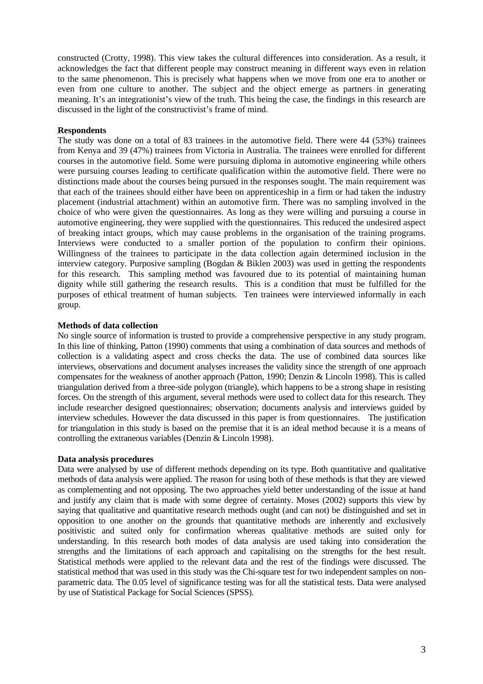constructed (Crotty, 1998). This view takes the cultural differences into consideration. As a result, it acknowledges the fact that different people may construct meaning in different ways even in relation to the same phenomenon. This is precisely what happens when we move from one era to another or even from one culture to another. The subject and the object emerge as partners in generating meaning. It's an integrationist's view of the truth. This being the case, the findings in this research are discussed in the light of the constructivist's frame of mind.

# **Respondents**

The study was done on a total of 83 trainees in the automotive field. There were 44 (53%) trainees from Kenya and 39 (47%) trainees from Victoria in Australia. The trainees were enrolled for different courses in the automotive field. Some were pursuing diploma in automotive engineering while others were pursuing courses leading to certificate qualification within the automotive field. There were no distinctions made about the courses being pursued in the responses sought. The main requirement was that each of the trainees should either have been on apprenticeship in a firm or had taken the industry placement (industrial attachment) within an automotive firm. There was no sampling involved in the choice of who were given the questionnaires. As long as they were willing and pursuing a course in automotive engineering, they were supplied with the questionnaires. This reduced the undesired aspect of breaking intact groups, which may cause problems in the organisation of the training programs. Interviews were conducted to a smaller portion of the population to confirm their opinions. Willingness of the trainees to participate in the data collection again determined inclusion in the interview category. Purposive sampling (Bogdan & Biklen 2003) was used in getting the respondents for this research. This sampling method was favoured due to its potential of maintaining human dignity while still gathering the research results. This is a condition that must be fulfilled for the purposes of ethical treatment of human subjects. Ten trainees were interviewed informally in each group.

# **Methods of data collection**

No single source of information is trusted to provide a comprehensive perspective in any study program. In this line of thinking, Patton (1990) comments that using a combination of data sources and methods of collection is a validating aspect and cross checks the data. The use of combined data sources like interviews, observations and document analyses increases the validity since the strength of one approach compensates for the weakness of another approach (Patton, 1990; Denzin & Lincoln 1998). This is called triangulation derived from a three-side polygon (triangle), which happens to be a strong shape in resisting forces. On the strength of this argument, several methods were used to collect data for this research. They include researcher designed questionnaires; observation; documents analysis and interviews guided by interview schedules. However the data discussed in this paper is from questionnaires. The justification for triangulation in this study is based on the premise that it is an ideal method because it is a means of controlling the extraneous variables (Denzin & Lincoln 1998).

# **Data analysis procedures**

Data were analysed by use of different methods depending on its type. Both quantitative and qualitative methods of data analysis were applied. The reason for using both of these methods is that they are viewed as complementing and not opposing. The two approaches yield better understanding of the issue at hand and justify any claim that is made with some degree of certainty. Moses (2002) supports this view by saying that qualitative and quantitative research methods ought (and can not) be distinguished and set in opposition to one another on the grounds that quantitative methods are inherently and exclusively positivistic and suited only for confirmation whereas qualitative methods are suited only for understanding. In this research both modes of data analysis are used taking into consideration the strengths and the limitations of each approach and capitalising on the strengths for the best result. Statistical methods were applied to the relevant data and the rest of the findings were discussed. The statistical method that was used in this study was the Chi-square test for two independent samples on nonparametric data. The 0.05 level of significance testing was for all the statistical tests. Data were analysed by use of Statistical Package for Social Sciences (SPSS).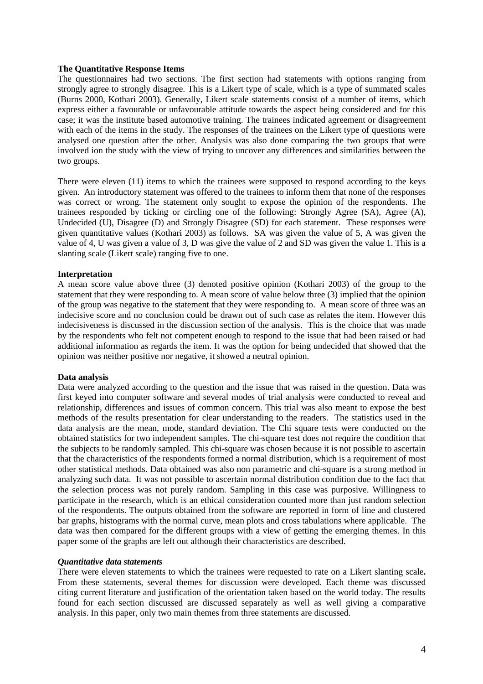### **The Quantitative Response Items**

The questionnaires had two sections. The first section had statements with options ranging from strongly agree to strongly disagree. This is a Likert type of scale, which is a type of summated scales (Burns 2000, Kothari 2003). Generally, Likert scale statements consist of a number of items, which express either a favourable or unfavourable attitude towards the aspect being considered and for this case; it was the institute based automotive training. The trainees indicated agreement or disagreement with each of the items in the study. The responses of the trainees on the Likert type of questions were analysed one question after the other. Analysis was also done comparing the two groups that were involved ion the study with the view of trying to uncover any differences and similarities between the two groups.

There were eleven (11) items to which the trainees were supposed to respond according to the keys given. An introductory statement was offered to the trainees to inform them that none of the responses was correct or wrong. The statement only sought to expose the opinion of the respondents. The trainees responded by ticking or circling one of the following: Strongly Agree (SA), Agree (A), Undecided (U), Disagree (D) and Strongly Disagree (SD) for each statement. These responses were given quantitative values (Kothari 2003) as follows. SA was given the value of 5, A was given the value of 4, U was given a value of 3, D was give the value of 2 and SD was given the value 1. This is a slanting scale (Likert scale) ranging five to one.

#### **Interpretation**

A mean score value above three (3) denoted positive opinion (Kothari 2003) of the group to the statement that they were responding to. A mean score of value below three (3) implied that the opinion of the group was negative to the statement that they were responding to. A mean score of three was an indecisive score and no conclusion could be drawn out of such case as relates the item. However this indecisiveness is discussed in the discussion section of the analysis. This is the choice that was made by the respondents who felt not competent enough to respond to the issue that had been raised or had additional information as regards the item. It was the option for being undecided that showed that the opinion was neither positive nor negative, it showed a neutral opinion.

#### **Data analysis**

Data were analyzed according to the question and the issue that was raised in the question. Data was first keyed into computer software and several modes of trial analysis were conducted to reveal and relationship, differences and issues of common concern. This trial was also meant to expose the best methods of the results presentation for clear understanding to the readers. The statistics used in the data analysis are the mean, mode, standard deviation. The Chi square tests were conducted on the obtained statistics for two independent samples. The chi-square test does not require the condition that the subjects to be randomly sampled. This chi-square was chosen because it is not possible to ascertain that the characteristics of the respondents formed a normal distribution, which is a requirement of most other statistical methods. Data obtained was also non parametric and chi-square is a strong method in analyzing such data. It was not possible to ascertain normal distribution condition due to the fact that the selection process was not purely random. Sampling in this case was purposive. Willingness to participate in the research, which is an ethical consideration counted more than just random selection of the respondents. The outputs obtained from the software are reported in form of line and clustered bar graphs, histograms with the normal curve, mean plots and cross tabulations where applicable. The data was then compared for the different groups with a view of getting the emerging themes. In this paper some of the graphs are left out although their characteristics are described.

#### *Quantitative data statements*

There were eleven statements to which the trainees were requested to rate on a Likert slanting scale**.**  From these statements, several themes for discussion were developed. Each theme was discussed citing current literature and justification of the orientation taken based on the world today. The results found for each section discussed are discussed separately as well as well giving a comparative analysis. In this paper, only two main themes from three statements are discussed.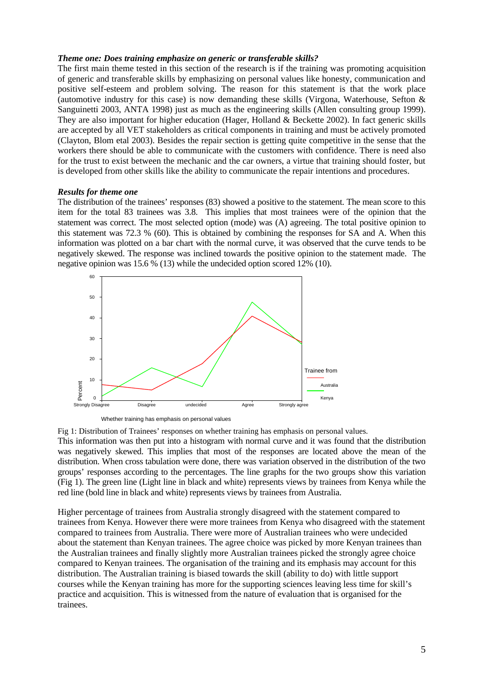### *Theme one: Does training emphasize on generic or transferable skills?*

The first main theme tested in this section of the research is if the training was promoting acquisition of generic and transferable skills by emphasizing on personal values like honesty, communication and positive self-esteem and problem solving. The reason for this statement is that the work place (automotive industry for this case) is now demanding these skills (Virgona, Waterhouse, Sefton  $\&$ Sanguinetti 2003, ANTA 1998) just as much as the engineering skills (Allen consulting group 1999). They are also important for higher education (Hager, Holland & Beckette 2002). In fact generic skills are accepted by all VET stakeholders as critical components in training and must be actively promoted (Clayton, Blom etal 2003). Besides the repair section is getting quite competitive in the sense that the workers there should be able to communicate with the customers with confidence. There is need also for the trust to exist between the mechanic and the car owners, a virtue that training should foster, but is developed from other skills like the ability to communicate the repair intentions and procedures.

#### *Results for theme one*

The distribution of the trainees' responses (83) showed a positive to the statement. The mean score to this item for the total 83 trainees was 3.8. This implies that most trainees were of the opinion that the statement was correct. The most selected option (mode) was (A) agreeing. The total positive opinion to this statement was 72.3 % (60). This is obtained by combining the responses for SA and A. When this information was plotted on a bar chart with the normal curve, it was observed that the curve tends to be negatively skewed. The response was inclined towards the positive opinion to the statement made. The negative opinion was 15.6 % (13) while the undecided option scored 12% (10).





Fig 1: Distribution of Trainees' responses on whether training has emphasis on personal values.

This information was then put into a histogram with normal curve and it was found that the distribution was negatively skewed. This implies that most of the responses are located above the mean of the distribution. When cross tabulation were done, there was variation observed in the distribution of the two groups' responses according to the percentages. The line graphs for the two groups show this variation (Fig 1). The green line (Light line in black and white) represents views by trainees from Kenya while the red line (bold line in black and white) represents views by trainees from Australia.

Higher percentage of trainees from Australia strongly disagreed with the statement compared to trainees from Kenya. However there were more trainees from Kenya who disagreed with the statement compared to trainees from Australia. There were more of Australian trainees who were undecided about the statement than Kenyan trainees. The agree choice was picked by more Kenyan trainees than the Australian trainees and finally slightly more Australian trainees picked the strongly agree choice compared to Kenyan trainees. The organisation of the training and its emphasis may account for this distribution. The Australian training is biased towards the skill (ability to do) with little support courses while the Kenyan training has more for the supporting sciences leaving less time for skill's practice and acquisition. This is witnessed from the nature of evaluation that is organised for the trainees.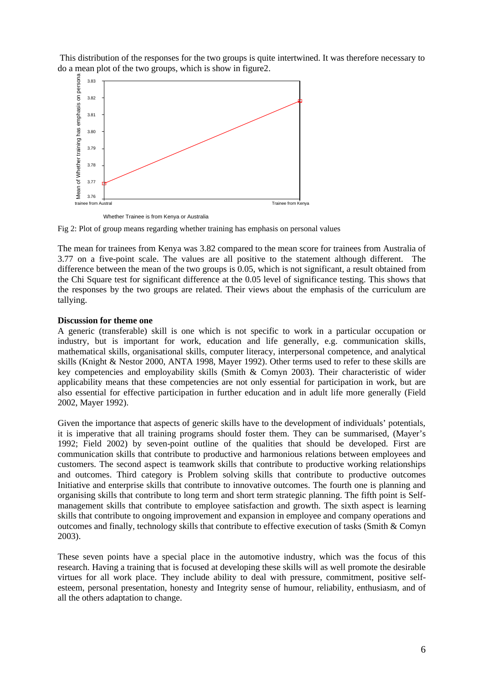This distribution of the responses for the two groups is quite intertwined. It was therefore necessary to do a mean plot of the two groups, which is show in figure2.



Whether Trainee is from Kenya or Australia

Fig 2: Plot of group means regarding whether training has emphasis on personal values

The mean for trainees from Kenya was 3.82 compared to the mean score for trainees from Australia of 3.77 on a five-point scale. The values are all positive to the statement although different. The difference between the mean of the two groups is 0.05, which is not significant, a result obtained from the Chi Square test for significant difference at the 0.05 level of significance testing. This shows that the responses by the two groups are related. Their views about the emphasis of the curriculum are tallying.

# **Discussion for theme one**

A generic (transferable) skill is one which is not specific to work in a particular occupation or industry, but is important for work, education and life generally, e.g. communication skills, mathematical skills, organisational skills, computer literacy, interpersonal competence, and analytical skills (Knight & Nestor 2000, ANTA 1998, Mayer 1992). Other terms used to refer to these skills are key competencies and employability skills (Smith & Comyn 2003). Their characteristic of wider applicability means that these competencies are not only essential for participation in work, but are also essential for effective participation in further education and in adult life more generally (Field 2002, Mayer 1992).

Given the importance that aspects of generic skills have to the development of individuals' potentials, it is imperative that all training programs should foster them. They can be summarised, (Mayer's 1992; Field 2002) by seven-point outline of the qualities that should be developed. First are communication skills that contribute to productive and harmonious relations between employees and customers. The second aspect is teamwork skills that contribute to productive working relationships and outcomes. Third category is Problem solving skills that contribute to productive outcomes Initiative and enterprise skills that contribute to innovative outcomes. The fourth one is planning and organising skills that contribute to long term and short term strategic planning. The fifth point is Selfmanagement skills that contribute to employee satisfaction and growth. The sixth aspect is learning skills that contribute to ongoing improvement and expansion in employee and company operations and outcomes and finally, technology skills that contribute to effective execution of tasks (Smith & Comyn 2003).

These seven points have a special place in the automotive industry, which was the focus of this research. Having a training that is focused at developing these skills will as well promote the desirable virtues for all work place. They include ability to deal with pressure, commitment, positive selfesteem, personal presentation, honesty and Integrity sense of humour, reliability, enthusiasm, and of all the others adaptation to change.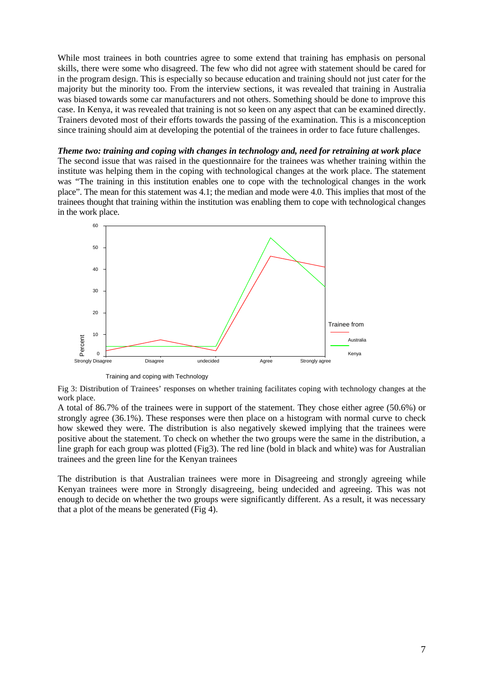While most trainees in both countries agree to some extend that training has emphasis on personal skills, there were some who disagreed. The few who did not agree with statement should be cared for in the program design. This is especially so because education and training should not just cater for the majority but the minority too. From the interview sections, it was revealed that training in Australia was biased towards some car manufacturers and not others. Something should be done to improve this case. In Kenya, it was revealed that training is not so keen on any aspect that can be examined directly. Trainers devoted most of their efforts towards the passing of the examination. This is a misconception since training should aim at developing the potential of the trainees in order to face future challenges.

*Theme two: training and coping with changes in technology and, need for retraining at work place*  The second issue that was raised in the questionnaire for the trainees was whether training within the institute was helping them in the coping with technological changes at the work place. The statement was "The training in this institution enables one to cope with the technological changes in the work place". The mean for this statement was 4.1; the median and mode were 4.0. This implies that most of the trainees thought that training within the institution was enabling them to cope with technological changes in the work place.



Training and coping with Technology

Fig 3: Distribution of Trainees' responses on whether training facilitates coping with technology changes at the work place.

A total of 86.7% of the trainees were in support of the statement. They chose either agree (50.6%) or strongly agree (36.1%). These responses were then place on a histogram with normal curve to check how skewed they were. The distribution is also negatively skewed implying that the trainees were positive about the statement. To check on whether the two groups were the same in the distribution, a line graph for each group was plotted (Fig3). The red line (bold in black and white) was for Australian trainees and the green line for the Kenyan trainees

The distribution is that Australian trainees were more in Disagreeing and strongly agreeing while Kenyan trainees were more in Strongly disagreeing, being undecided and agreeing. This was not enough to decide on whether the two groups were significantly different. As a result, it was necessary that a plot of the means be generated (Fig 4).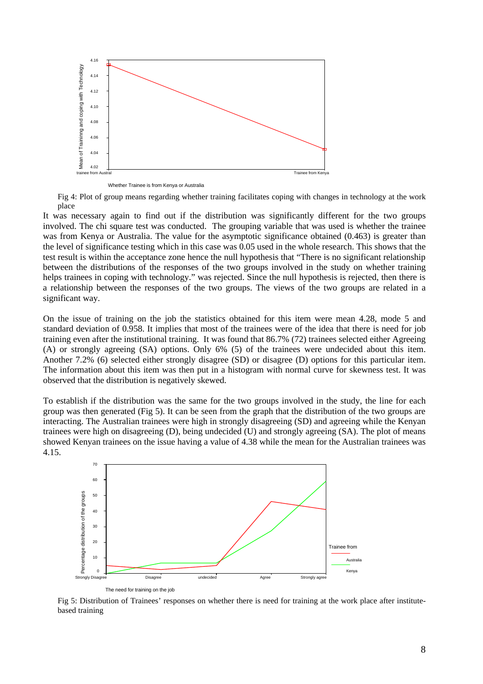

Whether Trainee is from Kenya or Australia

Fig 4: Plot of group means regarding whether training facilitates coping with changes in technology at the work place

It was necessary again to find out if the distribution was significantly different for the two groups involved. The chi square test was conducted. The grouping variable that was used is whether the trainee was from Kenya or Australia. The value for the asymptotic significance obtained (0.463) is greater than the level of significance testing which in this case was 0.05 used in the whole research. This shows that the test result is within the acceptance zone hence the null hypothesis that "There is no significant relationship between the distributions of the responses of the two groups involved in the study on whether training helps trainees in coping with technology." was rejected. Since the null hypothesis is rejected, then there is a relationship between the responses of the two groups. The views of the two groups are related in a significant way.

On the issue of training on the job the statistics obtained for this item were mean 4.28, mode 5 and standard deviation of 0.958. It implies that most of the trainees were of the idea that there is need for job training even after the institutional training. It was found that 86.7% (72) trainees selected either Agreeing (A) or strongly agreeing (SA) options. Only 6% (5) of the trainees were undecided about this item. Another 7.2% (6) selected either strongly disagree (SD) or disagree (D) options for this particular item. The information about this item was then put in a histogram with normal curve for skewness test. It was observed that the distribution is negatively skewed.

To establish if the distribution was the same for the two groups involved in the study, the line for each group was then generated (Fig 5). It can be seen from the graph that the distribution of the two groups are interacting. The Australian trainees were high in strongly disagreeing (SD) and agreeing while the Kenyan trainees were high on disagreeing (D), being undecided (U) and strongly agreeing (SA). The plot of means showed Kenyan trainees on the issue having a value of 4.38 while the mean for the Australian trainees was 4.15.



Fig 5: Distribution of Trainees' responses on whether there is need for training at the work place after institutebased training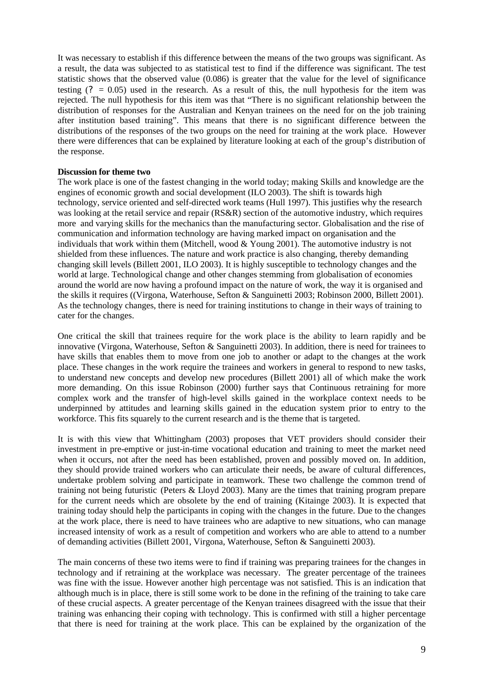It was necessary to establish if this difference between the means of the two groups was significant. As a result, the data was subjected to as statistical test to find if the difference was significant. The test statistic shows that the observed value (0.086) is greater that the value for the level of significance testing  $(2 = 0.05)$  used in the research. As a result of this, the null hypothesis for the item was rejected. The null hypothesis for this item was that "There is no significant relationship between the distribution of responses for the Australian and Kenyan trainees on the need for on the job training after institution based training". This means that there is no significant difference between the distributions of the responses of the two groups on the need for training at the work place. However there were differences that can be explained by literature looking at each of the group's distribution of the response.

### **Discussion for theme two**

The work place is one of the fastest changing in the world today; making Skills and knowledge are the engines of economic growth and social development (ILO 2003). The shift is towards high technology, service oriented and self-directed work teams (Hull 1997). This justifies why the research was looking at the retail service and repair (RS&R) section of the automotive industry, which requires more and varying skills for the mechanics than the manufacturing sector. Globalisation and the rise of communication and information technology are having marked impact on organisation and the individuals that work within them (Mitchell, wood  $&$  Young 2001). The automotive industry is not shielded from these influences. The nature and work practice is also changing, thereby demanding changing skill levels (Billett 2001, ILO 2003). It is highly susceptible to technology changes and the world at large. Technological change and other changes stemming from globalisation of economies around the world are now having a profound impact on the nature of work, the way it is organised and the skills it requires ((Virgona, Waterhouse, Sefton & Sanguinetti 2003; Robinson 2000, Billett 2001). As the technology changes, there is need for training institutions to change in their ways of training to cater for the changes.

One critical the skill that trainees require for the work place is the ability to learn rapidly and be innovative (Virgona, Waterhouse, Sefton & Sanguinetti 2003). In addition, there is need for trainees to have skills that enables them to move from one job to another or adapt to the changes at the work place. These changes in the work require the trainees and workers in general to respond to new tasks, to understand new concepts and develop new procedures (Billett 2001) all of which make the work more demanding. On this issue Robinson (2000) further says that Continuous retraining for more complex work and the transfer of high-level skills gained in the workplace context needs to be underpinned by attitudes and learning skills gained in the education system prior to entry to the workforce. This fits squarely to the current research and is the theme that is targeted.

It is with this view that Whittingham (2003) proposes that VET providers should consider their investment in pre-emptive or just-in-time vocational education and training to meet the market need when it occurs, not after the need has been established, proven and possibly moved on. In addition, they should provide trained workers who can articulate their needs, be aware of cultural differences, undertake problem solving and participate in teamwork. These two challenge the common trend of training not being futuristic (Peters & Lloyd 2003). Many are the times that training program prepare for the current needs which are obsolete by the end of training (Kitainge 2003). It is expected that training today should help the participants in coping with the changes in the future. Due to the changes at the work place, there is need to have trainees who are adaptive to new situations, who can manage increased intensity of work as a result of competition and workers who are able to attend to a number of demanding activities (Billett 2001, Virgona, Waterhouse, Sefton & Sanguinetti 2003).

The main concerns of these two items were to find if training was preparing trainees for the changes in technology and if retraining at the workplace was necessary. The greater percentage of the trainees was fine with the issue. However another high percentage was not satisfied. This is an indication that although much is in place, there is still some work to be done in the refining of the training to take care of these crucial aspects. A greater percentage of the Kenyan trainees disagreed with the issue that their training was enhancing their coping with technology. This is confirmed with still a higher percentage that there is need for training at the work place. This can be explained by the organization of the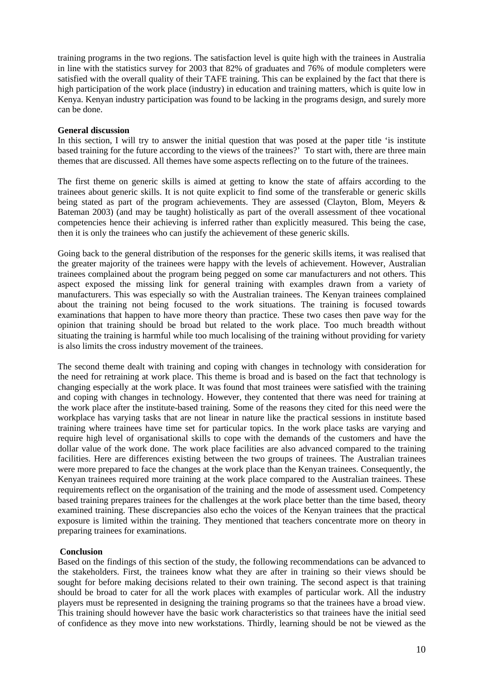training programs in the two regions. The satisfaction level is quite high with the trainees in Australia in line with the statistics survey for 2003 that 82% of graduates and 76% of module completers were satisfied with the overall quality of their TAFE training. This can be explained by the fact that there is high participation of the work place (industry) in education and training matters, which is quite low in Kenya. Kenyan industry participation was found to be lacking in the programs design, and surely more can be done.

### **General discussion**

In this section, I will try to answer the initial question that was posed at the paper title 'is institute based training for the future according to the views of the trainees?' To start with, there are three main themes that are discussed. All themes have some aspects reflecting on to the future of the trainees.

The first theme on generic skills is aimed at getting to know the state of affairs according to the trainees about generic skills. It is not quite explicit to find some of the transferable or generic skills being stated as part of the program achievements. They are assessed (Clayton, Blom, Meyers & Bateman 2003) (and may be taught) holistically as part of the overall assessment of thee vocational competencies hence their achieving is inferred rather than explicitly measured. This being the case, then it is only the trainees who can justify the achievement of these generic skills.

Going back to the general distribution of the responses for the generic skills items, it was realised that the greater majority of the trainees were happy with the levels of achievement. However, Australian trainees complained about the program being pegged on some car manufacturers and not others. This aspect exposed the missing link for general training with examples drawn from a variety of manufacturers. This was especially so with the Australian trainees. The Kenyan trainees complained about the training not being focused to the work situations. The training is focused towards examinations that happen to have more theory than practice. These two cases then pave way for the opinion that training should be broad but related to the work place. Too much breadth without situating the training is harmful while too much localising of the training without providing for variety is also limits the cross industry movement of the trainees.

The second theme dealt with training and coping with changes in technology with consideration for the need for retraining at work place. This theme is broad and is based on the fact that technology is changing especially at the work place. It was found that most trainees were satisfied with the training and coping with changes in technology. However, they contented that there was need for training at the work place after the institute-based training. Some of the reasons they cited for this need were the workplace has varying tasks that are not linear in nature like the practical sessions in institute based training where trainees have time set for particular topics. In the work place tasks are varying and require high level of organisational skills to cope with the demands of the customers and have the dollar value of the work done. The work place facilities are also advanced compared to the training facilities. Here are differences existing between the two groups of trainees. The Australian trainees were more prepared to face the changes at the work place than the Kenyan trainees. Consequently, the Kenyan trainees required more training at the work place compared to the Australian trainees. These requirements reflect on the organisation of the training and the mode of assessment used. Competency based training prepares trainees for the challenges at the work place better than the time based, theory examined training. These discrepancies also echo the voices of the Kenyan trainees that the practical exposure is limited within the training. They mentioned that teachers concentrate more on theory in preparing trainees for examinations.

# **Conclusion**

Based on the findings of this section of the study, the following recommendations can be advanced to the stakeholders. First, the trainees know what they are after in training so their views should be sought for before making decisions related to their own training. The second aspect is that training should be broad to cater for all the work places with examples of particular work. All the industry players must be represented in designing the training programs so that the trainees have a broad view. This training should however have the basic work characteristics so that trainees have the initial seed of confidence as they move into new workstations. Thirdly, learning should be not be viewed as the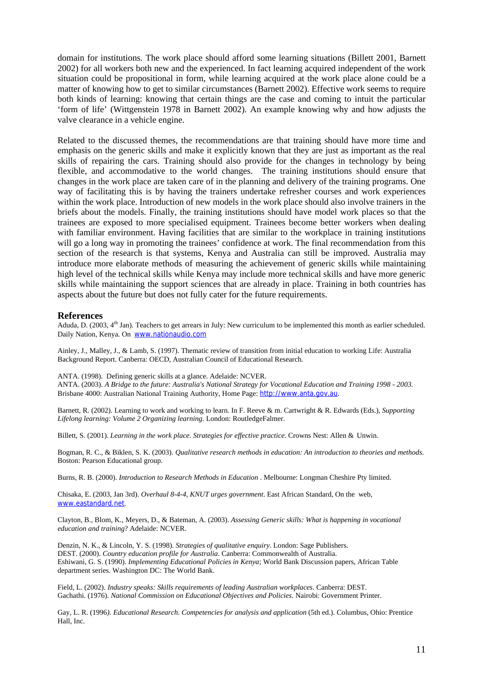domain for institutions. The work place should afford some learning situations (Billett 2001, Barnett 2002) for all workers both new and the experienced. In fact learning acquired independent of the work situation could be propositional in form, while learning acquired at the work place alone could be a matter of knowing how to get to similar circumstances (Barnett 2002). Effective work seems to require both kinds of learning: knowing that certain things are the case and coming to intuit the particular 'form of life' (Wittgenstein 1978 in Barnett 2002). An example knowing why and how adjusts the valve clearance in a vehicle engine.

Related to the discussed themes, the recommendations are that training should have more time and emphasis on the generic skills and make it explicitly known that they are just as important as the real skills of repairing the cars. Training should also provide for the changes in technology by being flexible, and accommodative to the world changes. The training institutions should ensure that changes in the work place are taken care of in the planning and delivery of the training programs. One way of facilitating this is by having the trainers undertake refresher courses and work experiences within the work place. Introduction of new models in the work place should also involve trainers in the briefs about the models. Finally, the training institutions should have model work places so that the trainees are exposed to more specialised equipment. Trainees become better workers when dealing with familiar environment. Having facilities that are similar to the workplace in training institutions will go a long way in promoting the trainees' confidence at work. The final recommendation from this section of the research is that systems, Kenya and Australia can still be improved. Australia may introduce more elaborate methods of measuring the achievement of generic skills while maintaining high level of the technical skills while Kenya may include more technical skills and have more generic skills while maintaining the support sciences that are already in place. Training in both countries has aspects about the future but does not fully cater for the future requirements.

#### **References**

Aduda, D. (2003,  $4<sup>th</sup>$  Jan). Teachers to get arrears in July: New curriculum to be implemented this month as earlier scheduled. Daily Nation, Kenya. On www.nationaudio.com

Ainley, J., Malley, J., & Lamb, S. (1997). Thematic review of transition from initial education to working Life: Australia Background Report. Canberra: OECD, Australian Council of Educational Research.

ANTA. (1998). Defining generic skills at a glance. Adelaide: NCVER. ANTA. (2003). *A Bridge to the future: Australia's National Strategy for Vocational Education and Training 1998 - 2003.* Brisbane 4000: Australian National Training Authority, Home Page: http://www.anta.gov.au.

Barnett, R. (2002). Learning to work and working to learn. In F. Reeve & m. Cartwright & R. Edwards (Eds.), *Supporting Lifelong learning: Volume 2 Organizing learning*. London: RoutledgeFalmer.

Billett, S. (2001). *Learning in the work place. Strategies for effective practice*. Crowns Nest: Allen & Unwin.

Bogman, R. C., & Biklen, S. K. (2003). *Qualitative research methods in education: An introduction to theories and methods*. Boston: Pearson Educational group.

Burns, R. B. (2000). *Introduction to Research Methods in Education* . Melbourne: Longman Cheshire Pty limited.

Chisaka, E. (2003, Jan 3rd). *Overhaul 8-4-4, KNUT urges government*. East African Standard, On the web, www.eastandard.net.

Clayton, B., Blom, K., Meyers, D., & Bateman, A. (2003). *Assessing Generic skills: What is happening in vocational education and training*? Adelaide: NCVER.

Denzin, N. K., & Lincoln, Y. S. (1998). *Strategies of qualitative enquiry*. London: Sage Publishers. DEST. (2000). *Country education profile for Australia*. Canberra: Commonwealth of Australia. Eshiwani, G. S. (1990). *Implementing Educational Policies in Kenya*; World Bank Discussion papers, African Table department series. Washington DC: The World Bank.

Field, L. (2002). *Industry speaks: Skills requirements of leading Australian workplaces*. Canberra: DEST. Gachathi. (1976). *National Commission on Educational Objectives and Policies*. Nairobi: Government Printer.

Gay, L. R. (1996*). Educational Research. Competencies for analysis and application* (5th ed.). Columbus, Ohio: Prentice Hall, Inc.